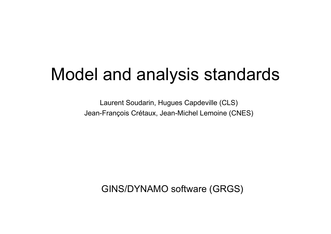# Model and analysis standards

Laurent Soudarin, Hugues Capdeville (CLS) Jean-François Crétaux, Jean-Michel Lemoine (CNES)

GINS/DYNAMO software (GRGS)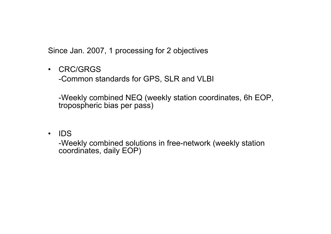Since Jan. 2007, 1 processing for 2 objectives

 $\bullet$ CRC/GRGS

-Common standards for GPS, SLR and VLBI

-Weekly combined NEQ (weekly station coordinates, 6h EOP, tropospheric bias per pass)

 $\bullet$ IDS

> -Weekly combined solutions in free-network (weekly station coordinates, daily EOP)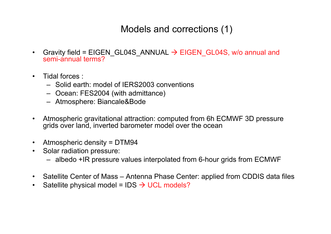### Models and corrections (1)

- •Gravity field = EIGEN GL04S\_ANNUAL  $\rightarrow$  EIGEN\_GL04S, w/o annual and semi-annual terms?
- •• Tidal forces :
	- Solid earth: model of IERS2003 conventions
	- Ocean: FES2004 (with admittance)
	- Atmosphere: Biancale&Bode
- • Atmospheric gravitational attraction: computed from 6h ECMWF 3D pressure grids over land, inverted barometer model over the ocean
- •Atmospheric density = DTM94
- • Solar radiation pressure:
	- albedo +IR pressure values interpolated from 6-hour grids from ECMWF
- •• Satellite Center of Mass – Antenna Phase Center: applied from CDDIS data files
- •Satellite physical model = IDS  $\rightarrow$  UCL models?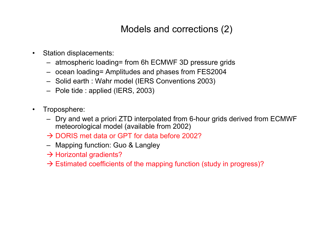### Models and corrections (2)

- • Station displacements:
	- atmospheric loading= from 6h ECMWF 3D pressure grids
	- ocean loading= Amplitudes and phases from FES2004
	- Solid earth : Wahr model (IERS Conventions 2003)
	- Pole tide : applied (IERS, 2003)
- • Troposphere:
	- Dry and wet a priori ZTD interpolated from 6-hour grids derived from ECMWF meteorological model (available from 2002)
	- $\rightarrow$  DORIS met data or GPT for data before 2002?
	- Mapping function: Guo & Langley
	- $\rightarrow$  Horizontal gradients?
	- $\rightarrow$  Estimated coefficients of the mapping function (study in progress)?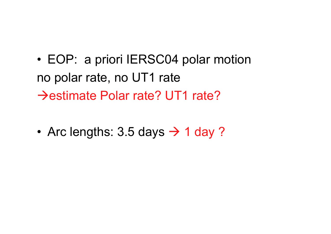• EOP: a priori IERSC04 polar motion no polar rate, no UT1 rate →estimate Polar rate? UT1 rate?

•• Arc lengths:  $3.5$  days  $\rightarrow$  1 day ?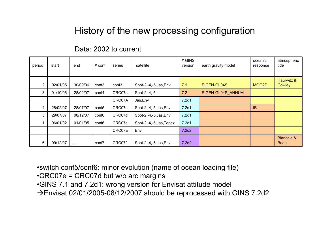## History of the new processing configuration

#### Data: 2002 to current

| period         | start    | end      | # conf.           | series            | satellite                | # GINS<br>version | earth gravity model | oceanic<br>response | atmospheric<br>tide       |
|----------------|----------|----------|-------------------|-------------------|--------------------------|-------------------|---------------------|---------------------|---------------------------|
|                |          |          |                   |                   |                          |                   |                     |                     |                           |
| $\overline{2}$ | 02/01/05 | 30/09/06 | conf <sub>3</sub> | conf <sub>3</sub> | Spot-2,-4,-5, Jas, Env   | 7.1               | EIGEN-GL04S         | MOG2D               | Haurwitz &<br>Cowley      |
| 3              | 01/10/06 | 28/02/07 | conf4             | CRC07a            | Spot-2,-4,-5             | 7.2               | EIGEN-GL04S_ANNUAL  |                     |                           |
|                |          |          |                   | CRC07A            | Jas, Env                 | 7.2d1             |                     |                     |                           |
| 4              | 28/02/07 | 28/07/07 | conf <sub>5</sub> | CRC07c            | Spot-2,-4,-5, Jas, Env   | 7.2d1             |                     | <b>IB</b>           |                           |
| 5              | 29/07/07 | 08/12/07 | conf <sub>6</sub> | CRC07d            | Spot-2,-4,-5, Jas, Env   | 7.2d1             |                     |                     |                           |
|                | 06/01/02 | 01/01/05 | conf <sub>6</sub> | CRC07e            | Spot-2,-4,-5, Jas, Topex | 7.2d1             |                     |                     |                           |
|                |          |          |                   | CRC07E            | Env                      | 7.2d2             |                     |                     |                           |
| 6              | 09/12/07 | $\cdots$ | conf7             | CRC07f            | Spot-2,-4,-5, Jas, Env   | 7.2d2             |                     |                     | Biancale &<br><b>Bode</b> |

•switch conf5/conf6: minor evolution (name of ocean loading file)

- •CRC07e = CRC07d but w/o arc margins
- •GINS 7.1 and 7.2d1: wrong version for Envisat attitude model
- $\rightarrow$ Envisat 02/01/2005-08/12/2007 should be reprocessed with GINS 7.2d2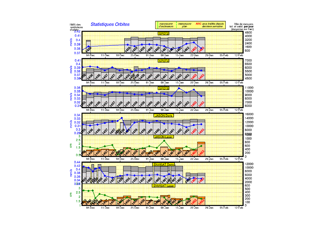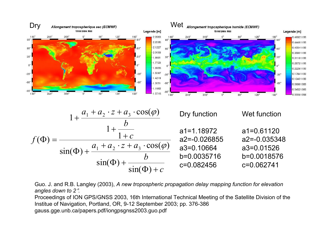

Guo. J. and R.B. Langley (2003), *A new tropospheric propagation delay mapping function for elevation angles down to 2*°.

Proceedings of ION GPS/GNSS 2003, 16th International Technical Meeting of the Satellite Division of the Institue of Navigation, Portland, OR, 9-12 September 2003; pp. 376-386 gauss.gge.unb.ca/papers.pdf/iongpsgnss2003.guo.pdf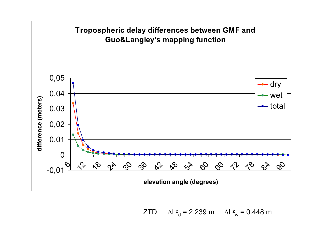

ZTD $D$  ∆L $^z$ <sub>d</sub> = 2.239 m ∆L $^z$ <sub>w</sub> = 0.448 m